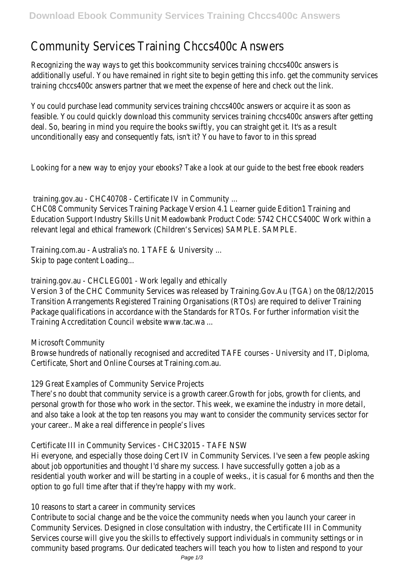## Community Services Training Chccs400c Answers

Recognizing the way ways to get this bookommunity services training chccs400c answerss additionally useful. You have remained in right site to begin getting this info, get the community services training chccs400c answers partner that we meet the expense of here and check out the link.

You could purchase lead community services training chccs400c answers or acquire it as soon as feasible. You could quickly download this community services training chccs400c answers after getting deal. So, bearing in mind you require the books swiftly, you can straight get it. It's as a result unconditionally easy and consequently fats, isn't it? You have to favor to in this spread

Looking for a new way to enjoy your ebooks? Take a look at our guide to the best free ebook readers

training.gov.au - CHC40708 - Certificate IV in Community ...

CHC08 Community Services Training Package Version 4.1 Learner guide Edition1 Training and Education Support Industry Skills Unit Meadowbank Product Code: 5742 CHCCS400C Work within a relevant legal and ethical framework (Children's Services) SAMPLE. SAMPLE.

Training.com.au - Australia's no. 1 TAFE & University ... Skip to page content Loading...

training.gov.au - CHCLEG001 - Work legally and ethically

Version 3 of the CHC Community Services was released by Training.Gov.Au (TGA) on the 08/12/2015 Transition Arrangements Registered Training Organisations (RTOs) are required to deliver Training Package qualifications in accordance with the Standards for RTOs. For further information visit the Training Accreditation Council website www.tac.wa ...

Microsoft Community

Browse hundreds of nationally recognised and accredited TAFE courses - University and IT, Diploma, Certificate, Short and Online Courses at Training.com.au.

129 Great Examples of Community Service Projects

There's no doubt that community service is a growth career.Growth for jobs, growth for clients, and personal growth for those who work in the sector. This week, we examine the industry in more detail, and also take a look at the top ten reasons you may want to consider the community services sector for your career.. Make a real difference in people's lives

Certificate III in Community Services - CHC32015 - TAFE NSW

Hi everyone, and especially those doing Cert IV in Community Services. I've seen a few people asking about job opportunities and thought I'd share my success. I have successfully gotten a job as a residential youth worker and will be starting in a couple of weeks., it is casual for 6 months and then the option to go full time after that if they're happy with my work.

10 reasons to start a career in community services

Contribute to social change and be the voice the community needs when you launch your career in Community Services. Designed in close consultation with industry, the Certificate III in Community Services course will give you the skills to effectively support individuals in community settings or in community based programs. Our dedicated teachers will teach you how to listen and respond to your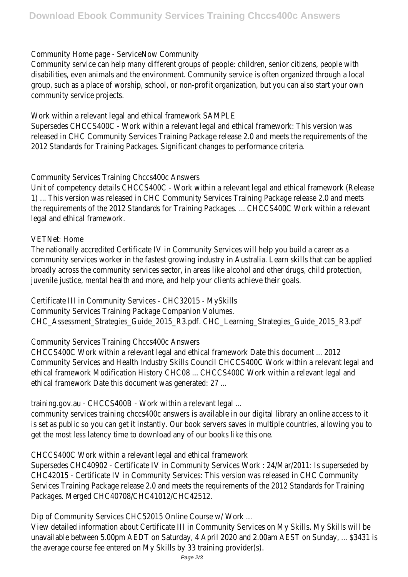## Community Home page - ServiceNow Community

Community service can help many different groups of people: children, senior citizens, people with disabilities, even animals and the environment. Community service is often organized through a local group, such as a place of worship, school, or non-profit organization, but you can also start your own community service projects.

Work within a relevant legal and ethical framework SAMPLE Supersedes CHCCS400C - Work within a relevant legal and ethical framework: This version was released in CHC Community Services Training Package release 2.0 and meets the requirements of the 2012 Standards for Training Packages. Significant changes to performance criteria.

Community Services Training Chccs400c Answers

Unit of competency details CHCCS400C - Work within a relevant legal and ethical framework (Release 1) ... This version was released in CHC Community Services Training Package release 2.0 and meets the requirements of the 2012 Standards for Training Packages. ... CHCCS400C Work within a relevant legal and ethical framework.

## VETNet: Home

The nationally accredited Certificate IV in Community Services will help you build a career as a community services worker in the fastest growing industry in Australia. Learn skills that can be applied broadly across the community services sector, in areas like alcohol and other drugs, child protection, juvenile justice, mental health and more, and help your clients achieve their goals.

Certificate III in Community Services - CHC32015 - MySkills Community Services Training Package Companion Volumes. CHC\_Assessment\_Strategies\_Guide\_2015\_R3.pdf. CHC\_Learning\_Strategies\_Guide\_2015\_R3.pdf

Community Services Training Chccs400c Answers

CHCCS400C Work within a relevant legal and ethical framework Date this document ... 2012 Community Services and Health Industry Skills Council CHCCS400C Work within a relevant legal and ethical framework Modification History CHC08 ... CHCCS400C Work within a relevant legal and ethical framework Date this document was generated: 27 ...

training.gov.au - CHCCS400B - Work within a relevant legal ...

community services training chccs400c answers is available in our digital library an online access to it is set as public so you can get it instantly. Our book servers saves in multiple countries, allowing you to get the most less latency time to download any of our books like this one.

CHCCS400C Work within a relevant legal and ethical framework

Supersedes CHC40902 - Certificate IV in Community Services Work : 24/Mar/2011: Is superseded by CHC42015 - Certificate IV in Community Services: This version was released in CHC Community Services Training Package release 2.0 and meets the requirements of the 2012 Standards for Training Packages. Merged CHC40708/CHC41012/CHC42512.

Dip of Community Services CHC52015 Online Course w/ Work ...

View detailed information about Certificate III in Community Services on My Skills. My Skills will be unavailable between 5.00pm AEDT on Saturday, 4 April 2020 and 2.00am AEST on Sunday, ... \$3431 is the average course fee entered on My Skills by 33 training provider(s).